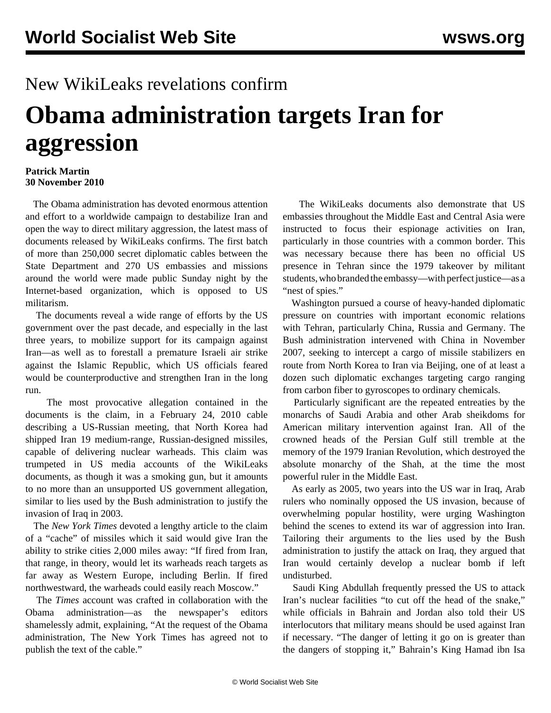## New WikiLeaks revelations confirm

## **Obama administration targets Iran for aggression**

## **Patrick Martin 30 November 2010**

 The Obama administration has devoted enormous attention and effort to a worldwide campaign to destabilize Iran and open the way to direct military aggression, the latest mass of documents released by WikiLeaks confirms. The first batch of more than 250,000 secret diplomatic cables between the State Department and 270 US embassies and missions around the world were made public Sunday night by the Internet-based organization, which is opposed to US militarism.

 The documents reveal a wide range of efforts by the US government over the past decade, and especially in the last three years, to mobilize support for its campaign against Iran—as well as to forestall a premature Israeli air strike against the Islamic Republic, which US officials feared would be counterproductive and strengthen Iran in the long run.

 The most provocative allegation contained in the documents is the claim, in a February 24, 2010 cable describing a US-Russian meeting, that North Korea had shipped Iran 19 medium-range, Russian-designed missiles, capable of delivering nuclear warheads. This claim was trumpeted in US media accounts of the WikiLeaks documents, as though it was a smoking gun, but it amounts to no more than an unsupported US government allegation, similar to lies used by the Bush administration to justify the invasion of Iraq in 2003.

 The *New York Times* devoted a lengthy article to the claim of a "cache" of missiles which it said would give Iran the ability to strike cities 2,000 miles away: "If fired from Iran, that range, in theory, would let its warheads reach targets as far away as Western Europe, including Berlin. If fired northwestward, the warheads could easily reach Moscow."

 The *Times* account was crafted in collaboration with the Obama administration—as the newspaper's editors shamelessly admit, explaining, "At the request of the Obama administration, The New York Times has agreed not to publish the text of the cable."

 The WikiLeaks documents also demonstrate that US embassies throughout the Middle East and Central Asia were instructed to focus their espionage activities on Iran, particularly in those countries with a common border. This was necessary because there has been no official US presence in Tehran since the 1979 takeover by militant students, who branded the embassy—with perfect justice—as a "nest of spies."

 Washington pursued a course of heavy-handed diplomatic pressure on countries with important economic relations with Tehran, particularly China, Russia and Germany. The Bush administration intervened with China in November 2007, seeking to intercept a cargo of missile stabilizers en route from North Korea to Iran via Beijing, one of at least a dozen such diplomatic exchanges targeting cargo ranging from carbon fiber to gyroscopes to ordinary chemicals.

 Particularly significant are the repeated entreaties by the monarchs of Saudi Arabia and other Arab sheikdoms for American military intervention against Iran. All of the crowned heads of the Persian Gulf still tremble at the memory of the 1979 Iranian Revolution, which destroyed the absolute monarchy of the Shah, at the time the most powerful ruler in the Middle East.

 As early as 2005, two years into the US war in Iraq, Arab rulers who nominally opposed the US invasion, because of overwhelming popular hostility, were urging Washington behind the scenes to extend its war of aggression into Iran. Tailoring their arguments to the lies used by the Bush administration to justify the attack on Iraq, they argued that Iran would certainly develop a nuclear bomb if left undisturbed.

 Saudi King Abdullah frequently pressed the US to attack Iran's nuclear facilities "to cut off the head of the snake," while officials in Bahrain and Jordan also told their US interlocutors that military means should be used against Iran if necessary. "The danger of letting it go on is greater than the dangers of stopping it," Bahrain's King Hamad ibn Isa